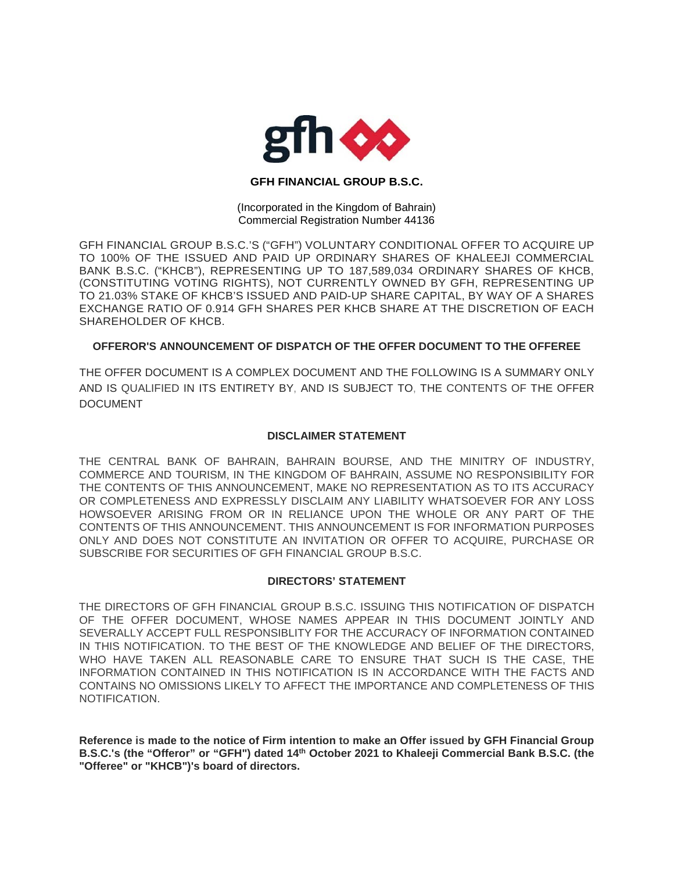

## **GFH FINANCIAL GROUP B.S.C.**

(Incorporated in the Kingdom of Bahrain) Commercial Registration Number 44136

GFH FINANCIAL GROUP B.S.C.'S ("GFH") VOLUNTARY CONDITIONAL OFFER TO ACQUIRE UP TO 100% OF THE ISSUED AND PAID UP ORDINARY SHARES OF KHALEEJI COMMERCIAL BANK B.S.C. ("KHCB"), REPRESENTING UP TO 187,589,034 ORDINARY SHARES OF KHCB, (CONSTITUTING VOTING RIGHTS), NOT CURRENTLY OWNED BY GFH, REPRESENTING UP TO 21.03% STAKE OF KHCB'S ISSUED AND PAID-UP SHARE CAPITAL, BY WAY OF A SHARES EXCHANGE RATIO OF 0.914 GFH SHARES PER KHCB SHARE AT THE DISCRETION OF EACH SHAREHOLDER OF KHCB.

## **OFFEROR'S ANNOUNCEMENT OF DISPATCH OF THE OFFER DOCUMENT TO THE OFFEREE**

THE OFFER DOCUMENT IS A COMPLEX DOCUMENT AND THE FOLLOWING IS A SUMMARY ONLY AND IS QUALIFIED IN ITS ENTIRETY BY, AND IS SUBJECT TO, THE CONTENTS OF THE OFFER DOCUMENT

## **DISCLAIMER STATEMENT**

THE CENTRAL BANK OF BAHRAIN, BAHRAIN BOURSE, AND THE MINITRY OF INDUSTRY, COMMERCE AND TOURISM, IN THE KINGDOM OF BAHRAIN, ASSUME NO RESPONSIBILITY FOR THE CONTENTS OF THIS ANNOUNCEMENT, MAKE NO REPRESENTATION AS TO ITS ACCURACY OR COMPLETENESS AND EXPRESSLY DISCLAIM ANY LIABILITY WHATSOEVER FOR ANY LOSS HOWSOEVER ARISING FROM OR IN RELIANCE UPON THE WHOLE OR ANY PART OF THE CONTENTS OF THIS ANNOUNCEMENT. THIS ANNOUNCEMENT IS FOR INFORMATION PURPOSES ONLY AND DOES NOT CONSTITUTE AN INVITATION OR OFFER TO ACQUIRE, PURCHASE OR SUBSCRIBE FOR SECURITIES OF GFH FINANCIAL GROUP B.S.C.

## **DIRECTORS' STATEMENT**

THE DIRECTORS OF GFH FINANCIAL GROUP B.S.C. ISSUING THIS NOTIFICATION OF DISPATCH OF THE OFFER DOCUMENT, WHOSE NAMES APPEAR IN THIS DOCUMENT JOINTLY AND SEVERALLY ACCEPT FULL RESPONSIBLITY FOR THE ACCURACY OF INFORMATION CONTAINED IN THIS NOTIFICATION. TO THE BEST OF THE KNOWLEDGE AND BELIEF OF THE DIRECTORS, WHO HAVE TAKEN ALL REASONABLE CARE TO ENSURE THAT SUCH IS THE CASE, THE INFORMATION CONTAINED IN THIS NOTIFICATION IS IN ACCORDANCE WITH THE FACTS AND CONTAINS NO OMISSIONS LIKELY TO AFFECT THE IMPORTANCE AND COMPLETENESS OF THIS NOTIFICATION.

**Reference is made to the notice of Firm intention to make an Offer issued by GFH Financial Group B.S.C.'s (the "Offeror" or "GFH") dated 14th October 2021 to Khaleeji Commercial Bank B.S.C. (the "Offeree" or "KHCB")'s board of directors.**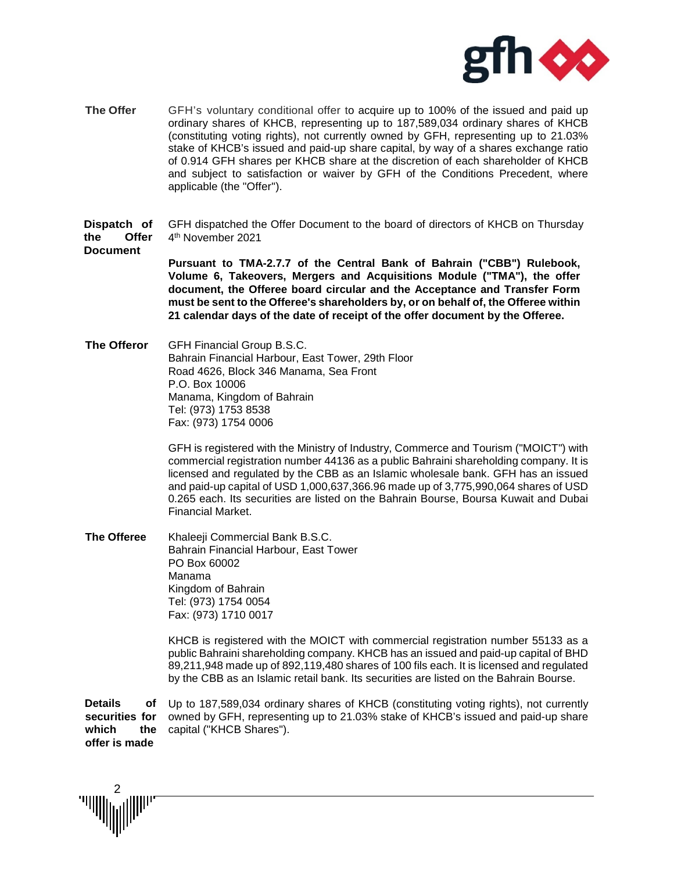

**The Offer** GFH's voluntary conditional offer to acquire up to 100% of the issued and paid up ordinary shares of KHCB, representing up to 187,589,034 ordinary shares of KHCB (constituting voting rights), not currently owned by GFH, representing up to 21.03% stake of KHCB's issued and paid-up share capital, by way of a shares exchange ratio of 0.914 GFH shares per KHCB share at the discretion of each shareholder of KHCB and subject to satisfaction or waiver by GFH of the Conditions Precedent, where applicable (the "Offer'').

**Dispatch of the Offer Document** GFH dispatched the Offer Document to the board of directors of KHCB on Thursday 4th November 2021

> **Pursuant to TMA-2.7.7 of the Central Bank of Bahrain ("CBB") Rulebook, Volume 6, Takeovers, Mergers and Acquisitions Module ("TMA"), the offer document, the Offeree board circular and the Acceptance and Transfer Form must be sent to the Offeree's shareholders by, or on behalf of, the Offeree within 21 calendar days of the date of receipt of the offer document by the Offeree.**

**The Offeror** GFH Financial Group B.S.C. Bahrain Financial Harbour, East Tower, 29th Floor Road 4626, Block 346 Manama, Sea Front P.O. Box 10006 Manama, Kingdom of Bahrain Tel: (973) 1753 8538 Fax: (973) 1754 0006

> GFH is registered with the Ministry of Industry, Commerce and Tourism ("MOICT") with commercial registration number 44136 as a public Bahraini shareholding company. It is licensed and regulated by the CBB as an Islamic wholesale bank. GFH has an issued and paid-up capital of USD 1,000,637,366.96 made up of 3,775,990,064 shares of USD 0.265 each. Its securities are listed on the Bahrain Bourse, Boursa Kuwait and Dubai Financial Market.

**The Offeree** Khaleeji Commercial Bank B.S.C. Bahrain Financial Harbour, East Tower PO Box 60002 Manama Kingdom of Bahrain Tel: (973) 1754 0054 Fax: (973) 1710 0017

> KHCB is registered with the MOICT with commercial registration number 55133 as a public Bahraini shareholding company. KHCB has an issued and paid-up capital of BHD 89,211,948 made up of 892,119,480 shares of 100 fils each. It is licensed and regulated by the CBB as an Islamic retail bank. Its securities are listed on the Bahrain Bourse.

**Details securities for which the offer is made** Up to 187,589,034 ordinary shares of KHCB (constituting voting rights), not currently owned by GFH, representing up to 21.03% stake of KHCB's issued and paid-up share capital ("KHCB Shares").

2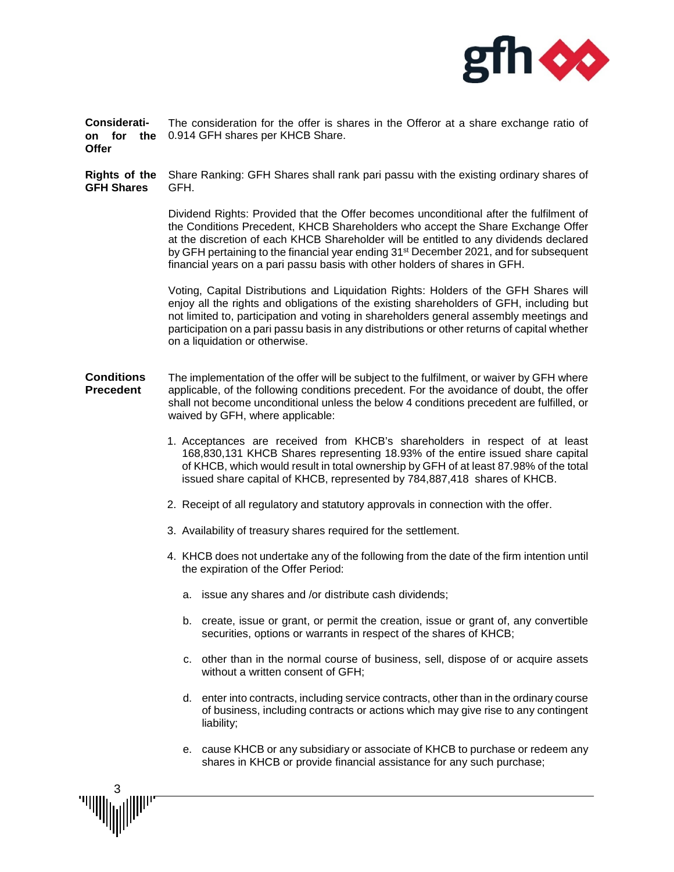

**Consideration for the**  0.914 GFH shares per KHCB Share. **Offer** The consideration for the offer is shares in the Offeror at a share exchange ratio of

**Rights of the GFH Shares** Share Ranking: GFH Shares shall rank pari passu with the existing ordinary shares of GFH.

> Dividend Rights: Provided that the Offer becomes unconditional after the fulfilment of the Conditions Precedent, KHCB Shareholders who accept the Share Exchange Offer at the discretion of each KHCB Shareholder will be entitled to any dividends declared by GFH pertaining to the financial year ending 31<sup>st</sup> December 2021, and for subsequent financial years on a pari passu basis with other holders of shares in GFH.

> Voting, Capital Distributions and Liquidation Rights: Holders of the GFH Shares will enjoy all the rights and obligations of the existing shareholders of GFH, including but not limited to, participation and voting in shareholders general assembly meetings and participation on a pari passu basis in any distributions or other returns of capital whether on a liquidation or otherwise.

- **Conditions Precedent** The implementation of the offer will be subject to the fulfilment, or waiver by GFH where applicable, of the following conditions precedent. For the avoidance of doubt, the offer shall not become unconditional unless the below 4 conditions precedent are fulfilled, or waived by GFH, where applicable:
	- 1. Acceptances are received from KHCB's shareholders in respect of at least 168,830,131 KHCB Shares representing 18.93% of the entire issued share capital of KHCB, which would result in total ownership by GFH of at least 87.98% of the total issued share capital of KHCB, represented by 784,887,418 shares of KHCB.
	- 2. Receipt of all regulatory and statutory approvals in connection with the offer.
	- 3. Availability of treasury shares required for the settlement.
	- 4. KHCB does not undertake any of the following from the date of the firm intention until the expiration of the Offer Period:
		- a. issue any shares and /or distribute cash dividends;
		- b. create, issue or grant, or permit the creation, issue or grant of, any convertible securities, options or warrants in respect of the shares of KHCB;
		- c. other than in the normal course of business, sell, dispose of or acquire assets without a written consent of GFH;
		- d. enter into contracts, including service contracts, other than in the ordinary course of business, including contracts or actions which may give rise to any contingent liability;
		- e. cause KHCB or any subsidiary or associate of KHCB to purchase or redeem any shares in KHCB or provide financial assistance for any such purchase;

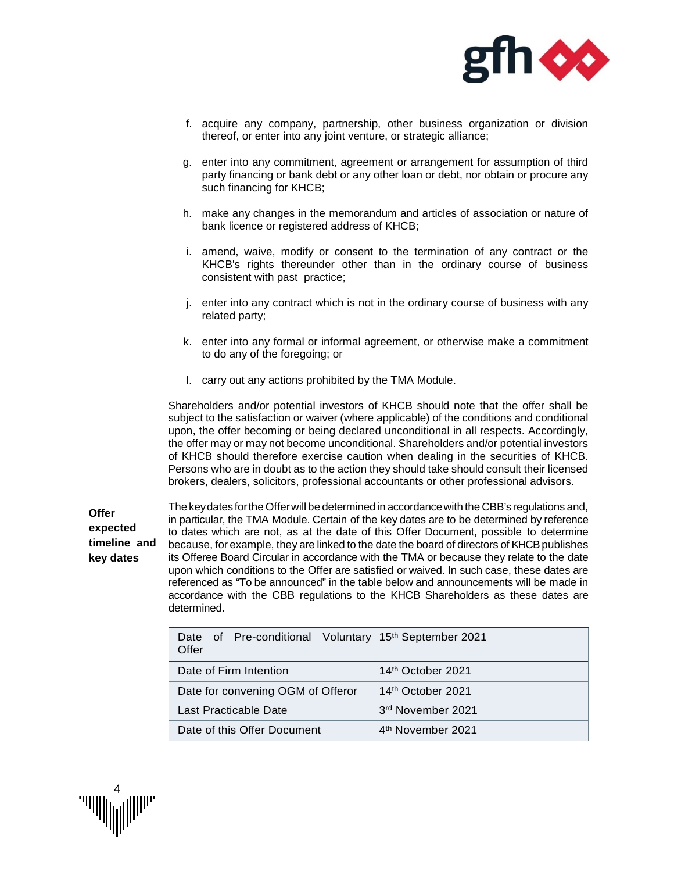

- f. acquire any company, partnership, other business organization or division thereof, or enter into any joint venture, or strategic alliance;
- g. enter into any commitment, agreement or arrangement for assumption of third party financing or bank debt or any other loan or debt, nor obtain or procure any such financing for KHCB;
- h. make any changes in the memorandum and articles of association or nature of bank licence or registered address of KHCB;
- i. amend, waive, modify or consent to the termination of any contract or the KHCB's rights thereunder other than in the ordinary course of business consistent with past practice;
- j. enter into any contract which is not in the ordinary course of business with any related party;
- k. enter into any formal or informal agreement, or otherwise make a commitment to do any of the foregoing; or
- l. carry out any actions prohibited by the TMA Module.

Shareholders and/or potential investors of KHCB should note that the offer shall be subject to the satisfaction or waiver (where applicable) of the conditions and conditional upon, the offer becoming or being declared unconditional in all respects. Accordingly, the offer may or may not become unconditional. Shareholders and/or potential investors of KHCB should therefore exercise caution when dealing in the securities of KHCB. Persons who are in doubt as to the action they should take should consult their licensed brokers, dealers, solicitors, professional accountants or other professional advisors.

**Offer expected timeline and key dates** The keydates fortheOfferwill be determinedin accordancewith the CBB's regulations and, in particular, the TMA Module. Certain of the key dates are to be determined by reference to dates which are not, as at the date of this Offer Document, possible to determine because, for example, they are linked to the date the board of directors of KHCB publishes its Offeree Board Circular in accordance with the TMA or because they relate to the date upon which conditions to the Offer are satisfied or waived. In such case, these dates are referenced as "To be announced" in the table below and announcements will be made in accordance with the CBB regulations to the KHCB Shareholders as these dates are determined.

| Date of Pre-conditional Voluntary 15 <sup>th</sup> September 2021<br>Offer |                               |  |
|----------------------------------------------------------------------------|-------------------------------|--|
| Date of Firm Intention                                                     | 14 <sup>th</sup> October 2021 |  |
| Date for convening OGM of Offeror                                          | 14 <sup>th</sup> October 2021 |  |
| Last Practicable Date                                                      | 3rd November 2021             |  |
| Date of this Offer Document                                                | 4 <sup>th</sup> November 2021 |  |

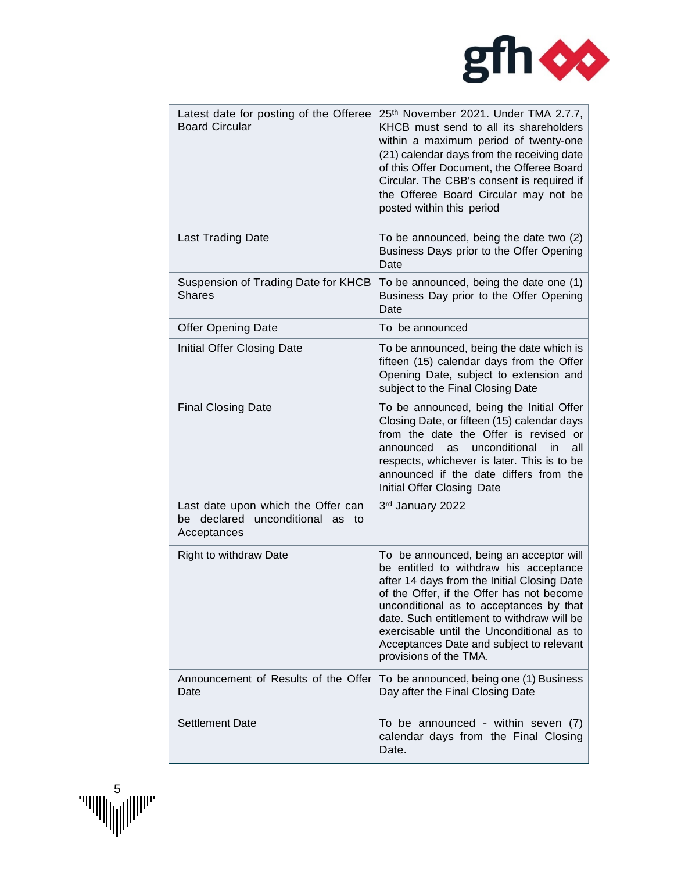

| Latest date for posting of the Offeree<br><b>Board Circular</b>                      | 25th November 2021. Under TMA 2.7.7,<br>KHCB must send to all its shareholders<br>within a maximum period of twenty-one<br>(21) calendar days from the receiving date<br>of this Offer Document, the Offeree Board<br>Circular. The CBB's consent is required if<br>the Offeree Board Circular may not be<br>posted within this period                                                    |
|--------------------------------------------------------------------------------------|-------------------------------------------------------------------------------------------------------------------------------------------------------------------------------------------------------------------------------------------------------------------------------------------------------------------------------------------------------------------------------------------|
| <b>Last Trading Date</b>                                                             | To be announced, being the date two (2)<br>Business Days prior to the Offer Opening<br>Date                                                                                                                                                                                                                                                                                               |
| Suspension of Trading Date for KHCB<br><b>Shares</b>                                 | To be announced, being the date one (1)<br>Business Day prior to the Offer Opening<br>Date                                                                                                                                                                                                                                                                                                |
| <b>Offer Opening Date</b>                                                            | To be announced                                                                                                                                                                                                                                                                                                                                                                           |
| Initial Offer Closing Date                                                           | To be announced, being the date which is<br>fifteen (15) calendar days from the Offer<br>Opening Date, subject to extension and<br>subject to the Final Closing Date                                                                                                                                                                                                                      |
| <b>Final Closing Date</b>                                                            | To be announced, being the Initial Offer<br>Closing Date, or fifteen (15) calendar days<br>from the date the Offer is revised or<br>unconditional<br>in<br>all<br>announced<br>as<br>respects, whichever is later. This is to be<br>announced if the date differs from the<br>Initial Offer Closing Date                                                                                  |
| Last date upon which the Offer can<br>be declared unconditional as to<br>Acceptances | 3rd January 2022                                                                                                                                                                                                                                                                                                                                                                          |
| <b>Right to withdraw Date</b>                                                        | To be announced, being an acceptor will<br>be entitled to withdraw his acceptance<br>after 14 days from the Initial Closing Date<br>of the Offer, if the Offer has not become<br>unconditional as to acceptances by that<br>date. Such entitlement to withdraw will be<br>exercisable until the Unconditional as to<br>Acceptances Date and subject to relevant<br>provisions of the TMA. |
| Announcement of Results of the Offer<br>Date                                         | To be announced, being one (1) Business<br>Day after the Final Closing Date                                                                                                                                                                                                                                                                                                               |
| <b>Settlement Date</b>                                                               | To be announced - within seven (7)<br>calendar days from the Final Closing<br>Date.                                                                                                                                                                                                                                                                                                       |

 $\begin{picture}(20,10) \put(0,0){\line(1,0){10}} \put(15,0){\line(1,0){10}} \put(15,0){\line(1,0){10}} \put(15,0){\line(1,0){10}} \put(15,0){\line(1,0){10}} \put(15,0){\line(1,0){10}} \put(15,0){\line(1,0){10}} \put(15,0){\line(1,0){10}} \put(15,0){\line(1,0){10}} \put(15,0){\line(1,0){10}} \put(15,0){\line(1,0){10}} \put(15,0){\line(1$